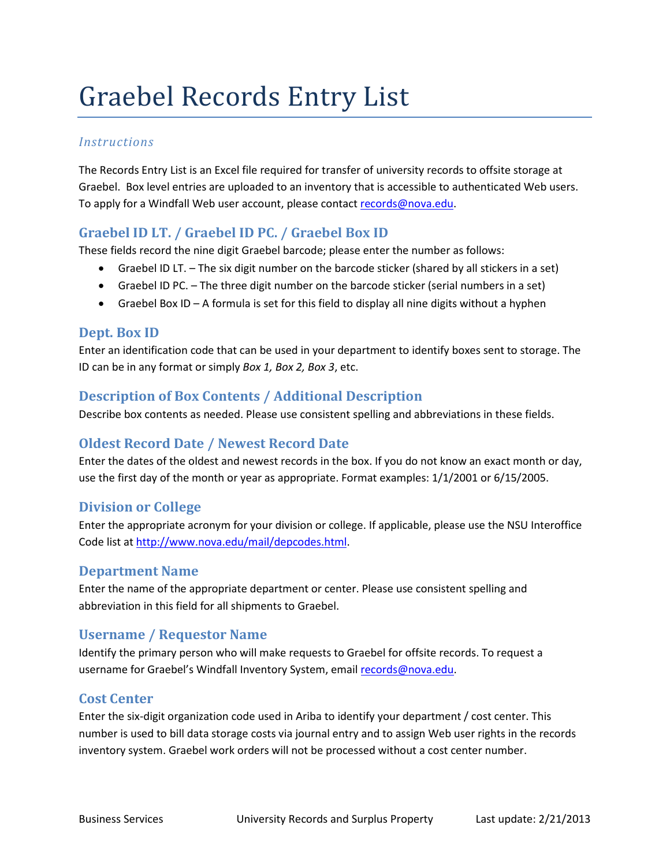# Graebel Records Entry List

#### *Instructions*

The Records Entry List is an Excel file required for transfer of university records to offsite storage at Graebel. Box level entries are uploaded to an inventory that is accessible to authenticated Web users. To apply for a Windfall Web user account, please contact [records@nova.edu.](mailto:records@nova.edu)

## **Graebel ID LT. / Graebel ID PC. / Graebel Box ID**

These fields record the nine digit Graebel barcode; please enter the number as follows:

- Graebel ID LT. The six digit number on the barcode sticker (shared by all stickers in a set)
- Graebel ID PC. The three digit number on the barcode sticker (serial numbers in a set)
- Graebel Box ID A formula is set for this field to display all nine digits without a hyphen

#### **Dept. Box ID**

Enter an identification code that can be used in your department to identify boxes sent to storage. The ID can be in any format or simply *Box 1, Box 2, Box 3*, etc.

#### **Description of Box Contents / Additional Description**

Describe box contents as needed. Please use consistent spelling and abbreviations in these fields.

#### **Oldest Record Date / Newest Record Date**

Enter the dates of the oldest and newest records in the box. If you do not know an exact month or day, use the first day of the month or year as appropriate. Format examples: 1/1/2001 or 6/15/2005.

#### **Division or College**

Enter the appropriate acronym for your division or college. If applicable, please use the NSU Interoffice Code list a[t http://www.nova.edu/mail/depcodes.html.](http://www.nova.edu/mail/depcodes.html) 

#### **Department Name**

Enter the name of the appropriate department or center. Please use consistent spelling and abbreviation in this field for all shipments to Graebel.

## **Username / Requestor Name**

Identify the primary person who will make requests to Graebel for offsite records. To request a username for Graebel's Windfall Inventory System, emai[l records@nova.edu.](mailto:records@nova.edu)

## **Cost Center**

Enter the six-digit organization code used in Ariba to identify your department / cost center. This number is used to bill data storage costs via journal entry and to assign Web user rights in the records inventory system. Graebel work orders will not be processed without a cost center number.